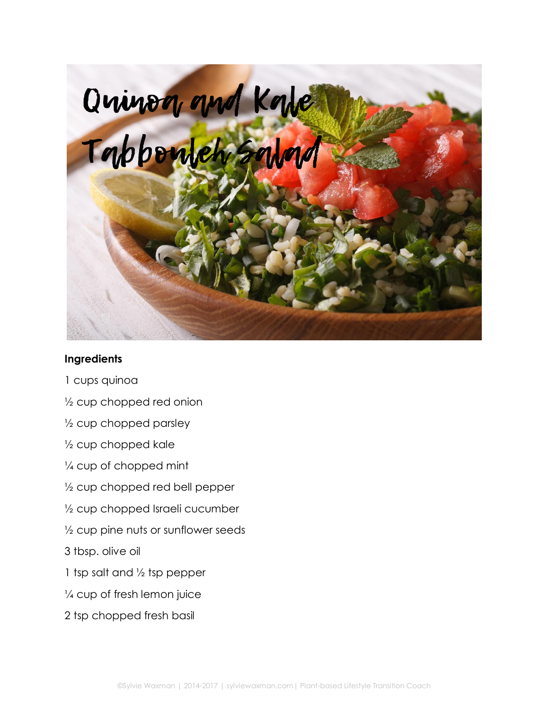

## **Ingredients**

- 1 cups quinoa
- ½ cup chopped red onion
- ½ cup chopped parsley
- ½ cup chopped kale
- ¼ cup of chopped mint
- ½ cup chopped red bell pepper
- ½ cup chopped Israeli cucumber
- $\frac{1}{2}$  cup pine nuts or sunflower seeds
- 3 tbsp. olive oil
- 1 tsp salt and ½ tsp pepper
- ¼ cup of fresh lemon juice
- 2 tsp chopped fresh basil